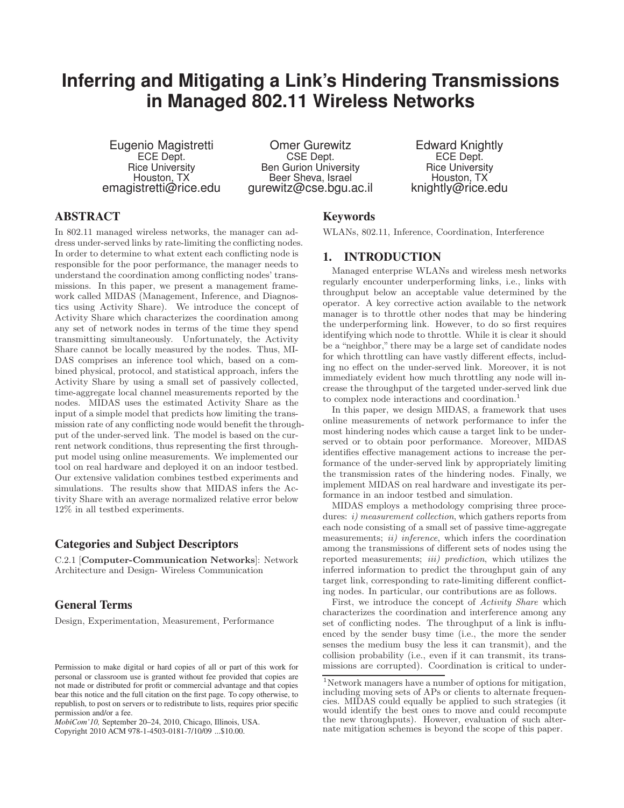# **Inferring and Mitigating a Link's Hindering Transmissions in Managed 802.11 Wireless Networks**

Eugenio Magistretti ECE Dept. Rice University Houston, TX emagistretti@rice.edu

Omer Gurewitz CSE Dept. Ben Gurion University Beer Sheva, Israel gurewitz@cse.bgu.ac.il

Edward Knightly ECE Dept. Rice University Houston, TX knightly@rice.edu

# ABSTRACT

In 802.11 managed wireless networks, the manager can address under-served links by rate-limiting the conflicting nodes. In order to determine to what extent each conflicting node is responsible for the poor performance, the manager needs to understand the coordination among conflicting nodes' transmissions. In this paper, we present a management framework called MIDAS (Management, Inference, and Diagnostics using Activity Share). We introduce the concept of Activity Share which characterizes the coordination among any set of network nodes in terms of the time they spend transmitting simultaneously. Unfortunately, the Activity Share cannot be locally measured by the nodes. Thus, MI-DAS comprises an inference tool which, based on a combined physical, protocol, and statistical approach, infers the Activity Share by using a small set of passively collected, time-aggregate local channel measurements reported by the nodes. MIDAS uses the estimated Activity Share as the input of a simple model that predicts how limiting the transmission rate of any conflicting node would benefit the throughput of the under-served link. The model is based on the current network conditions, thus representing the first throughput model using online measurements. We implemented our tool on real hardware and deployed it on an indoor testbed. Our extensive validation combines testbed experiments and simulations. The results show that MIDAS infers the Activity Share with an average normalized relative error below 12% in all testbed experiments.

# Categories and Subject Descriptors

C.2.1 [Computer-Communication Networks]: Network Architecture and Design- Wireless Communication

# General Terms

Design, Experimentation, Measurement, Performance

*MobiCom'10,* September 20–24, 2010, Chicago, Illinois, USA. Copyright 2010 ACM 978-1-4503-0181-7/10/09 ...\$10.00.

# Keywords

WLANs, 802.11, Inference, Coordination, Interference

# 1. INTRODUCTION

Managed enterprise WLANs and wireless mesh networks regularly encounter underperforming links, i.e., links with throughput below an acceptable value determined by the operator. A key corrective action available to the network manager is to throttle other nodes that may be hindering the underperforming link. However, to do so first requires identifying which node to throttle. While it is clear it should be a "neighbor," there may be a large set of candidate nodes for which throttling can have vastly different effects, including no effect on the under-served link. Moreover, it is not immediately evident how much throttling any node will increase the throughput of the targeted under-served link due to complex node interactions and coordination.<sup>1</sup>

In this paper, we design MIDAS, a framework that uses online measurements of network performance to infer the most hindering nodes which cause a target link to be underserved or to obtain poor performance. Moreover, MIDAS identifies effective management actions to increase the performance of the under-served link by appropriately limiting the transmission rates of the hindering nodes. Finally, we implement MIDAS on real hardware and investigate its performance in an indoor testbed and simulation.

MIDAS employs a methodology comprising three procedures: *i*) measurement collection, which gathers reports from each node consisting of a small set of passive time-aggregate measurements; ii) inference, which infers the coordination among the transmissions of different sets of nodes using the reported measurements; *iii*) prediction, which utilizes the inferred information to predict the throughput gain of any target link, corresponding to rate-limiting different conflicting nodes. In particular, our contributions are as follows.

First, we introduce the concept of Activity Share which characterizes the coordination and interference among any set of conflicting nodes. The throughput of a link is influenced by the sender busy time (i.e., the more the sender senses the medium busy the less it can transmit), and the collision probability (i.e., even if it can transmit, its transmissions are corrupted). Coordination is critical to under-

Permission to make digital or hard copies of all or part of this work for personal or classroom use is granted without fee provided that copies are not made or distributed for profit or commercial advantage and that copies bear this notice and the full citation on the first page. To copy otherwise, to republish, to post on servers or to redistribute to lists, requires prior specific permission and/or a fee.

<sup>1</sup>Network managers have a number of options for mitigation, including moving sets of APs or clients to alternate frequencies. MIDAS could equally be applied to such strategies (it would identify the best ones to move and could recompute the new throughputs). However, evaluation of such alternate mitigation schemes is beyond the scope of this paper.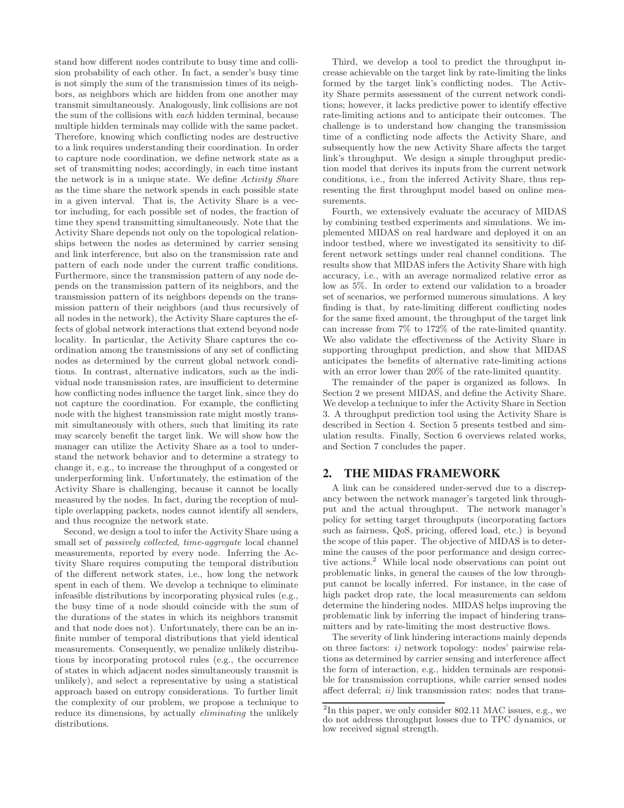stand how different nodes contribute to busy time and collision probability of each other. In fact, a sender's busy time is not simply the sum of the transmission times of its neighbors, as neighbors which are hidden from one another may transmit simultaneously. Analogously, link collisions are not the sum of the collisions with each hidden terminal, because multiple hidden terminals may collide with the same packet. Therefore, knowing which conflicting nodes are destructive to a link requires understanding their coordination. In order to capture node coordination, we define network state as a set of transmitting nodes; accordingly, in each time instant the network is in a unique state. We define Activity Share as the time share the network spends in each possible state in a given interval. That is, the Activity Share is a vector including, for each possible set of nodes, the fraction of time they spend transmitting simultaneously. Note that the Activity Share depends not only on the topological relationships between the nodes as determined by carrier sensing and link interference, but also on the transmission rate and pattern of each node under the current traffic conditions. Furthermore, since the transmission pattern of any node depends on the transmission pattern of its neighbors, and the transmission pattern of its neighbors depends on the transmission pattern of their neighbors (and thus recursively of all nodes in the network), the Activity Share captures the effects of global network interactions that extend beyond node locality. In particular, the Activity Share captures the coordination among the transmissions of any set of conflicting nodes as determined by the current global network conditions. In contrast, alternative indicators, such as the individual node transmission rates, are insufficient to determine how conflicting nodes influence the target link, since they do not capture the coordination. For example, the conflicting node with the highest transmission rate might mostly transmit simultaneously with others, such that limiting its rate may scarcely benefit the target link. We will show how the manager can utilize the Activity Share as a tool to understand the network behavior and to determine a strategy to change it, e.g., to increase the throughput of a congested or underperforming link. Unfortunately, the estimation of the Activity Share is challenging, because it cannot be locally measured by the nodes. In fact, during the reception of multiple overlapping packets, nodes cannot identify all senders, and thus recognize the network state.

Second, we design a tool to infer the Activity Share using a small set of passively collected, time-aggregate local channel measurements, reported by every node. Inferring the Activity Share requires computing the temporal distribution of the different network states, i.e., how long the network spent in each of them. We develop a technique to eliminate infeasible distributions by incorporating physical rules (e.g., the busy time of a node should coincide with the sum of the durations of the states in which its neighbors transmit and that node does not). Unfortunately, there can be an infinite number of temporal distributions that yield identical measurements. Consequently, we penalize unlikely distributions by incorporating protocol rules (e.g., the occurrence of states in which adjacent nodes simultaneously transmit is unlikely), and select a representative by using a statistical approach based on entropy considerations. To further limit the complexity of our problem, we propose a technique to reduce its dimensions, by actually *eliminating* the unlikely distributions.

Third, we develop a tool to predict the throughput increase achievable on the target link by rate-limiting the links formed by the target link's conflicting nodes. The Activity Share permits assessment of the current network conditions; however, it lacks predictive power to identify effective rate-limiting actions and to anticipate their outcomes. The challenge is to understand how changing the transmission time of a conflicting node affects the Activity Share, and subsequently how the new Activity Share affects the target link's throughput. We design a simple throughput prediction model that derives its inputs from the current network conditions, i.e., from the inferred Activity Share, thus representing the first throughput model based on online measurements.

Fourth, we extensively evaluate the accuracy of MIDAS by combining testbed experiments and simulations. We implemented MIDAS on real hardware and deployed it on an indoor testbed, where we investigated its sensitivity to different network settings under real channel conditions. The results show that MIDAS infers the Activity Share with high accuracy, i.e., with an average normalized relative error as low as 5%. In order to extend our validation to a broader set of scenarios, we performed numerous simulations. A key finding is that, by rate-limiting different conflicting nodes for the same fixed amount, the throughput of the target link can increase from 7% to 172% of the rate-limited quantity. We also validate the effectiveness of the Activity Share in supporting throughput prediction, and show that MIDAS anticipates the benefits of alternative rate-limiting actions with an error lower than 20% of the rate-limited quantity.

The remainder of the paper is organized as follows. In Section 2 we present MIDAS, and define the Activity Share. We develop a technique to infer the Activity Share in Section 3. A throughput prediction tool using the Activity Share is described in Section 4. Section 5 presents testbed and simulation results. Finally, Section 6 overviews related works, and Section 7 concludes the paper.

## 2. THE MIDAS FRAMEWORK

A link can be considered under-served due to a discrepancy between the network manager's targeted link throughput and the actual throughput. The network manager's policy for setting target throughputs (incorporating factors such as fairness, QoS, pricing, offered load, etc.) is beyond the scope of this paper. The objective of MIDAS is to determine the causes of the poor performance and design corrective actions.<sup>2</sup> While local node observations can point out problematic links, in general the causes of the low throughput cannot be locally inferred. For instance, in the case of high packet drop rate, the local measurements can seldom determine the hindering nodes. MIDAS helps improving the problematic link by inferring the impact of hindering transmitters and by rate-limiting the most destructive flows.

The severity of link hindering interactions mainly depends on three factors: i) network topology: nodes' pairwise relations as determined by carrier sensing and interference affect the form of interaction, e.g., hidden terminals are responsible for transmission corruptions, while carrier sensed nodes affect deferral;  $ii)$  link transmission rates: nodes that trans-

 ${}^{2}\mathrm{In}$  this paper, we only consider 802.11 MAC issues, e.g., we do not address throughput losses due to TPC dynamics, or low received signal strength.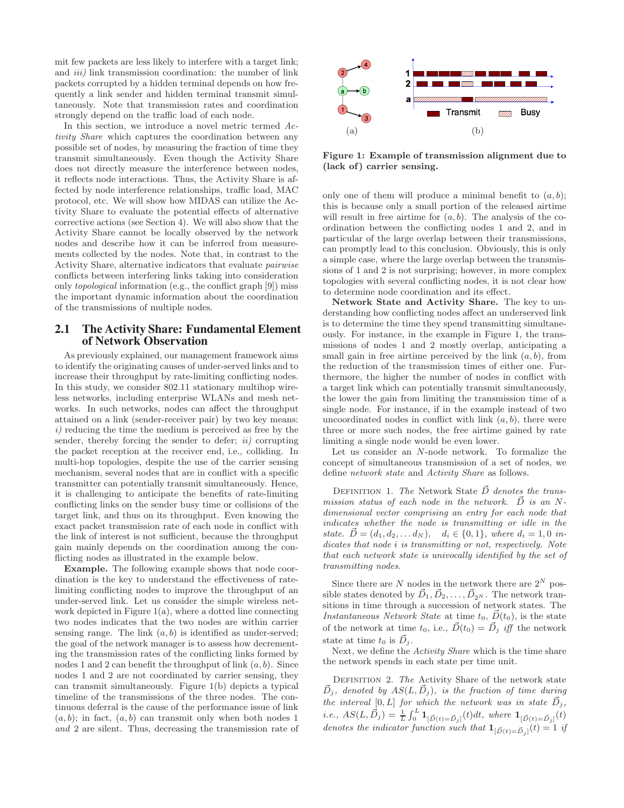mit few packets are less likely to interfere with a target link; and  $iii)$  link transmission coordination: the number of link packets corrupted by a hidden terminal depends on how frequently a link sender and hidden terminal transmit simultaneously. Note that transmission rates and coordination strongly depend on the traffic load of each node.

In this section, we introduce a novel metric termed Activity Share which captures the coordination between any possible set of nodes, by measuring the fraction of time they transmit simultaneously. Even though the Activity Share does not directly measure the interference between nodes, it reflects node interactions. Thus, the Activity Share is affected by node interference relationships, traffic load, MAC protocol, etc. We will show how MIDAS can utilize the Activity Share to evaluate the potential effects of alternative corrective actions (see Section 4). We will also show that the Activity Share cannot be locally observed by the network nodes and describe how it can be inferred from measurements collected by the nodes. Note that, in contrast to the Activity Share, alternative indicators that evaluate pairwise conflicts between interfering links taking into consideration only topological information (e.g., the conflict graph [9]) miss the important dynamic information about the coordination of the transmissions of multiple nodes.

# 2.1 The Activity Share: Fundamental Element of Network Observation

As previously explained, our management framework aims to identify the originating causes of under-served links and to increase their throughput by rate-limiting conflicting nodes. In this study, we consider 802.11 stationary multihop wireless networks, including enterprise WLANs and mesh networks. In such networks, nodes can affect the throughput attained on a link (sender-receiver pair) by two key means:  $i)$  reducing the time the medium is perceived as free by the sender, thereby forcing the sender to defer;  $ii)$  corrupting the packet reception at the receiver end, i.e., colliding. In multi-hop topologies, despite the use of the carrier sensing mechanism, several nodes that are in conflict with a specific transmitter can potentially transmit simultaneously. Hence, it is challenging to anticipate the benefits of rate-limiting conflicting links on the sender busy time or collisions of the target link, and thus on its throughput. Even knowing the exact packet transmission rate of each node in conflict with the link of interest is not sufficient, because the throughput gain mainly depends on the coordination among the conflicting nodes as illustrated in the example below.

Example. The following example shows that node coordination is the key to understand the effectiveness of ratelimiting conflicting nodes to improve the throughput of an under-served link. Let us consider the simple wireless network depicted in Figure  $1(a)$ , where a dotted line connecting two nodes indicates that the two nodes are within carrier sensing range. The link  $(a, b)$  is identified as under-served; the goal of the network manager is to assess how decrementing the transmission rates of the conflicting links formed by nodes 1 and 2 can benefit the throughput of link  $(a, b)$ . Since nodes 1 and 2 are not coordinated by carrier sensing, they can transmit simultaneously. Figure 1(b) depicts a typical timeline of the transmissions of the three nodes. The continuous deferral is the cause of the performance issue of link  $(a, b)$ ; in fact,  $(a, b)$  can transmit only when both nodes 1 and 2 are silent. Thus, decreasing the transmission rate of



Figure 1: Example of transmission alignment due to (lack of) carrier sensing.

only one of them will produce a minimal benefit to  $(a, b)$ ; this is because only a small portion of the released airtime will result in free airtime for  $(a, b)$ . The analysis of the coordination between the conflicting nodes 1 and 2, and in particular of the large overlap between their transmissions, can promptly lead to this conclusion. Obviously, this is only a simple case, where the large overlap between the transmissions of 1 and 2 is not surprising; however, in more complex topologies with several conflicting nodes, it is not clear how to determine node coordination and its effect.

Network State and Activity Share. The key to understanding how conflicting nodes affect an underserved link is to determine the time they spend transmitting simultaneously. For instance, in the example in Figure 1, the transmissions of nodes 1 and 2 mostly overlap, anticipating a small gain in free airtime perceived by the link  $(a, b)$ , from the reduction of the transmission times of either one. Furthermore, the higher the number of nodes in conflict with a target link which can potentially transmit simultaneously, the lower the gain from limiting the transmission time of a single node. For instance, if in the example instead of two uncoordinated nodes in conflict with link  $(a, b)$ , there were three or more such nodes, the free airtime gained by rate limiting a single node would be even lower.

Let us consider an N-node network. To formalize the concept of simultaneous transmission of a set of nodes, we define network state and Activity Share as follows.

DEFINITION 1. The Network State  $\vec{D}$  denotes the transmission status of each node in the network.  $\vec{D}$  is an Ndimensional vector comprising an entry for each node that indicates whether the node is transmitting or idle in the state.  $\vec{D} = (d_1, d_2, \ldots d_N), \quad d_i \in \{0, 1\},$  where  $d_i = 1, 0$  indicates that node i is transmitting or not, respectively. Note that each network state is univocally identified by the set of transmitting nodes.

Since there are N nodes in the network there are  $2^N$  possible states denoted by  $\vec{D}_1, \vec{D}_2, \ldots, \vec{D}_{2^N}$ . The network transitions in time through a succession of network states. The *Instantaneous Network State* at time  $t_0$ ,  $\vec{D}(t_0)$ , is the state of the network at time  $t_0$ , i.e.,  $\vec{D}(t_0) = \vec{D}_j$  iff the network state at time  $t_0$  is  $\vec{D}_j$ .

Next, we define the Activity Share which is the time share the network spends in each state per time unit.

DEFINITION 2. The Activity Share of the network state  $\vec{D}_j$ , denoted by  $AS(L, \vec{D}_j)$ , is the fraction of time during the interval  $[0, L]$  for which the network was in state  $\vec{D}_j$ , *i.e.*,  $AS(L, \vec{D}_j) = \frac{1}{L} \int_0^L \mathbf{1}_{[\vec{D}(t) = \vec{D}_j]}(t) dt$ , where  $\mathbf{1}_{[\vec{D}(t) = \vec{D}_j]}(t)$ denotes the indicator function such that  $\mathbf{1}_{[\vec{D}(t) = \vec{D}_j]}(t) = 1$  if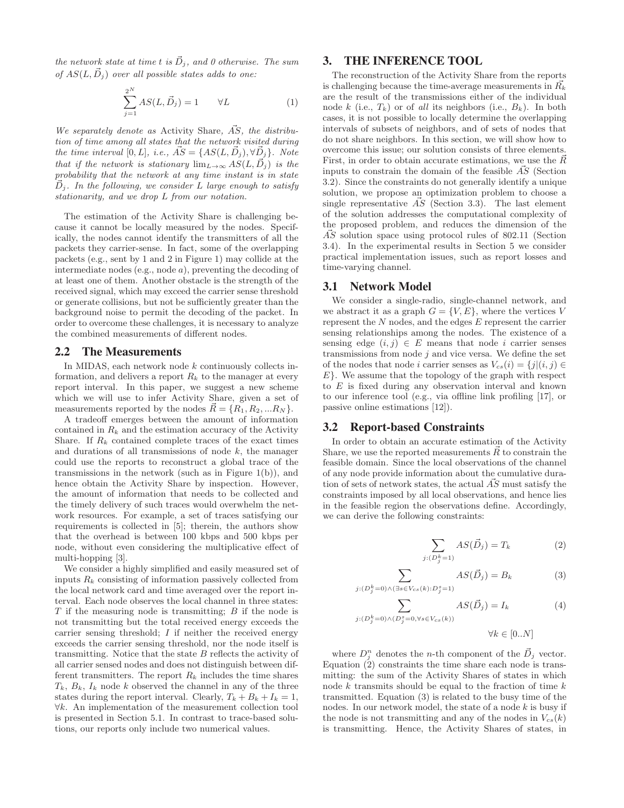the network state at time t is  $\vec{D}_i$ , and 0 otherwise. The sum of  $AS(L, \vec{D}_i)$  over all possible states adds to one:

$$
\sum_{j=1}^{2^N} AS(L, \vec{D}_j) = 1 \qquad \forall L \tag{1}
$$

We separately denote as Activity Share,  $\vec{AS}$ , the distribution of time among all states that the network visited during the time interval [0, L], i.e.,  $\vec{AS} = \{AS(L, \vec{D}_j), \forall \vec{D}_j\}.$  Note that if the network is stationary  $\lim_{L\to\infty} AS(L, \vec{D}_i)$  is the probability that the network at any time instant is in state  $D_j$ . In the following, we consider L large enough to satisfy stationarity, and we drop L from our notation.

The estimation of the Activity Share is challenging because it cannot be locally measured by the nodes. Specifically, the nodes cannot identify the transmitters of all the packets they carrier-sense. In fact, some of the overlapping packets (e.g., sent by 1 and 2 in Figure 1) may collide at the intermediate nodes (e.g., node a), preventing the decoding of at least one of them. Another obstacle is the strength of the received signal, which may exceed the carrier sense threshold or generate collisions, but not be sufficiently greater than the background noise to permit the decoding of the packet. In order to overcome these challenges, it is necessary to analyze the combined measurements of different nodes.

#### 2.2 The Measurements

In MIDAS, each network node k continuously collects information, and delivers a report  $R_k$  to the manager at every report interval. In this paper, we suggest a new scheme which we will use to infer Activity Share, given a set of measurements reported by the nodes  $\vec{R} = \{R_1, R_2, ... R_N\}.$ 

A tradeoff emerges between the amount of information contained in  $R_k$  and the estimation accuracy of the Activity Share. If  $R_k$  contained complete traces of the exact times and durations of all transmissions of node k, the manager could use the reports to reconstruct a global trace of the transmissions in the network (such as in Figure  $1(b)$ ), and hence obtain the Activity Share by inspection. However, the amount of information that needs to be collected and the timely delivery of such traces would overwhelm the network resources. For example, a set of traces satisfying our requirements is collected in [5]; therein, the authors show that the overhead is between 100 kbps and 500 kbps per node, without even considering the multiplicative effect of multi-hopping [3].

We consider a highly simplified and easily measured set of inputs  $R_k$  consisting of information passively collected from the local network card and time averaged over the report interval. Each node observes the local channel in three states:  $T$  if the measuring node is transmitting;  $B$  if the node is not transmitting but the total received energy exceeds the carrier sensing threshold;  $I$  if neither the received energy exceeds the carrier sensing threshold, nor the node itself is transmitting. Notice that the state  $B$  reflects the activity of all carrier sensed nodes and does not distinguish between different transmitters. The report  $R_k$  includes the time shares  $T_k$ ,  $B_k$ ,  $I_k$  node k observed the channel in any of the three states during the report interval. Clearly,  $T_k + B_k + I_k = 1$ , ∀k. An implementation of the measurement collection tool is presented in Section 5.1. In contrast to trace-based solutions, our reports only include two numerical values.

## 3. THE INFERENCE TOOL

The reconstruction of the Activity Share from the reports is challenging because the time-average measurements in  $\bar{R_k}$ are the result of the transmissions either of the individual node k (i.e.,  $T_k$ ) or of all its neighbors (i.e.,  $B_k$ ). In both cases, it is not possible to locally determine the overlapping intervals of subsets of neighbors, and of sets of nodes that do not share neighbors. In this section, we will show how to overcome this issue; our solution consists of three elements. First, in order to obtain accurate estimations, we use the  $\vec{R}$ inputs to constrain the domain of the feasible  $\overrightarrow{AS}$  (Section 3.2). Since the constraints do not generally identify a unique solution, we propose an optimization problem to choose a single representative  $\vec{AS}$  (Section 3.3). The last element of the solution addresses the computational complexity of the proposed problem, and reduces the dimension of the AS solution space using protocol rules of 802.11 (Section 3.4). In the experimental results in Section 5 we consider practical implementation issues, such as report losses and time-varying channel.

## 3.1 Network Model

We consider a single-radio, single-channel network, and we abstract it as a graph  $G = \{V, E\}$ , where the vertices V represent the N nodes, and the edges E represent the carrier sensing relationships among the nodes. The existence of a sensing edge  $(i, j) \in E$  means that node i carrier senses transmissions from node  $j$  and vice versa. We define the set of the nodes that node *i* carrier senses as  $V_{cs}(i) = \{j | (i, j) \in$  $E$ . We assume that the topology of the graph with respect to  $E$  is fixed during any observation interval and known to our inference tool (e.g., via offline link profiling [17], or passive online estimations [12]).

#### 3.2 Report-based Constraints

In order to obtain an accurate estimation of the Activity Share, we use the reported measurements  $\vec{R}$  to constrain the feasible domain. Since the local observations of the channel of any node provide information about the cumulative duration of sets of network states, the actual  $\overrightarrow{AS}$  must satisfy the constraints imposed by all local observations, and hence lies in the feasible region the observations define. Accordingly, we can derive the following constraints:

$$
\sum_{j:(D_j^k=1)} AS(\vec{D}_j) = T_k \tag{2}
$$

$$
\sum_{j:(D_j^k=0)\wedge(\exists s\in V_{cs}(k):D_j^s=1)} AS(\vec{D}_j)=B_k
$$
\n(3)

$$
\sum_{j:(D_j^k=0)\wedge(D_j^s=0,\forall s\in V_{cs}(k))} AS(\vec{D}_j) = I_k
$$
\n(4)

$$
\forall k \in [0..N]
$$

where  $D_j^n$  denotes the *n*-th component of the  $\vec{D}_j$  vector. Equation (2) constraints the time share each node is transmitting: the sum of the Activity Shares of states in which node  $k$  transmits should be equal to the fraction of time  $k$ transmitted. Equation (3) is related to the busy time of the nodes. In our network model, the state of a node  $k$  is busy if the node is not transmitting and any of the nodes in  $V_{cs}(k)$ is transmitting. Hence, the Activity Shares of states, in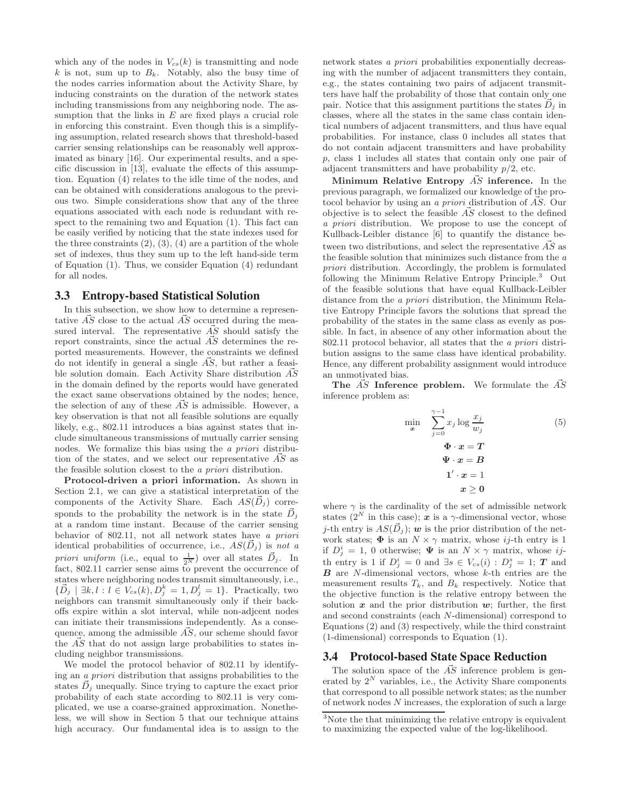which any of the nodes in  $V_{cs}(k)$  is transmitting and node k is not, sum up to  $B_k$ . Notably, also the busy time of the nodes carries information about the Activity Share, by inducing constraints on the duration of the network states including transmissions from any neighboring node. The assumption that the links in  $E$  are fixed plays a crucial role in enforcing this constraint. Even though this is a simplifying assumption, related research shows that threshold-based carrier sensing relationships can be reasonably well approximated as binary [16]. Our experimental results, and a specific discussion in [13], evaluate the effects of this assumption. Equation (4) relates to the idle time of the nodes, and can be obtained with considerations analogous to the previous two. Simple considerations show that any of the three equations associated with each node is redundant with respect to the remaining two and Equation (1). This fact can be easily verified by noticing that the state indexes used for the three constraints  $(2)$ ,  $(3)$ ,  $(4)$  are a partition of the whole set of indexes, thus they sum up to the left hand-side term of Equation (1). Thus, we consider Equation (4) redundant for all nodes.

#### 3.3 Entropy-based Statistical Solution

In this subsection, we show how to determine a representative  $\overrightarrow{AS}$  close to the actual  $\overrightarrow{AS}$  occurred during the measured interval. The representative  $\overrightarrow{AS}$  should satisfy the report constraints, since the actual  $\overrightarrow{AS}$  determines the reported measurements. However, the constraints we defined do not identify in general a single  $\overrightarrow{AS}$ , but rather a feasible solution domain. Each Activity Share distribution  $AS$ in the domain defined by the reports would have generated the exact same observations obtained by the nodes; hence, the selection of any of these  $\overrightarrow{AS}$  is admissible. However, a key observation is that not all feasible solutions are equally likely, e.g., 802.11 introduces a bias against states that include simultaneous transmissions of mutually carrier sensing nodes. We formalize this bias using the a priori distribution of the states, and we select our representative  $\vec{AS}$  as the feasible solution closest to the a priori distribution.

Protocol-driven a priori information. As shown in Section 2.1, we can give a statistical interpretation of the components of the Activity Share. Each  $AS(D_i)$  corresponds to the probability the network is in the state  $D_i$ at a random time instant. Because of the carrier sensing behavior of 802.11, not all network states have a priori identical probabilities of occurrence, i.e.,  $AS(\vec{D}_i)$  is not a priori uniform (i.e., equal to  $\frac{1}{2^N}$ ) over all states  $\vec{D}_j$ . In fact, 802.11 carrier sense aims to prevent the occurrence of states where neighboring nodes transmit simultaneously, i.e.,  $\{\vec{D}_j \mid \exists k, l : l \in V_{cs}(k), D_j^k = 1, D_j^l = 1\}$ . Practically, two neighbors can transmit simultaneously only if their backoffs expire within a slot interval, while non-adjcent nodes can initiate their transmissions independently. As a consequence, among the admissible  $\vec{AS}$ , our scheme should favor the  $\overline{AS}$  that do not assign large probabilities to states including neighbor transmissions.

We model the protocol behavior of 802.11 by identifying an a priori distribution that assigns probabilities to the states  $D_i$  unequally. Since trying to capture the exact prior probability of each state according to 802.11 is very complicated, we use a coarse-grained approximation. Nonetheless, we will show in Section 5 that our technique attains high accuracy. Our fundamental idea is to assign to the network states a priori probabilities exponentially decreasing with the number of adjacent transmitters they contain, e.g., the states containing two pairs of adjacent transmitters have half the probability of those that contain only one pair. Notice that this assignment partitions the states  $\dot{D}_i$  in classes, where all the states in the same class contain identical numbers of adjacent transmitters, and thus have equal probabilities. For instance, class 0 includes all states that do not contain adjacent transmitters and have probability p, class 1 includes all states that contain only one pair of adjacent transmitters and have probability  $p/2$ , etc.

Minimum Relative Entropy  $\vec{AS}$  inference. In the previous paragraph, we formalized our knowledge of the protocol behavior by using an a priori distribution of  $\vec{AS}$ . Our objective is to select the feasible  $\vec{AS}$  closest to the defined a priori distribution. We propose to use the concept of Kullback-Leibler distance [6] to quantify the distance between two distributions, and select the representative  $\vec{AS}$  as the feasible solution that minimizes such distance from the  $a$ priori distribution. Accordingly, the problem is formulated following the Minimum Relative Entropy Principle.<sup>3</sup> Out of the feasible solutions that have equal Kullback-Leibler distance from the a priori distribution, the Minimum Relative Entropy Principle favors the solutions that spread the probability of the states in the same class as evenly as possible. In fact, in absence of any other information about the 802.11 protocol behavior, all states that the a priori distribution assigns to the same class have identical probability. Hence, any different probability assignment would introduce an unmotivated bias.

The  $\overline{AS}$  Inference problem. We formulate the  $\overline{AS}$ inference problem as:

$$
\min_{\mathbf{x}} \quad \sum_{j=0}^{\gamma-1} x_j \log \frac{x_j}{w_j}
$$
\n
$$
\Phi \cdot \mathbf{x} = \mathbf{T}
$$
\n
$$
\Psi \cdot \mathbf{x} = \mathbf{B}
$$
\n
$$
\mathbf{1}' \cdot \mathbf{x} = 1
$$
\n
$$
\mathbf{x} \geq \mathbf{0}
$$
\n(5)

where  $\gamma$  is the cardinality of the set of admissible network states ( $2^N$  in this case);  $\boldsymbol{x}$  is a  $\gamma$ -dimensional vector, whose j-th entry is  $AS(\vec{D}_i);$  w is the prior distribution of the network states;  $\Phi$  is an  $N \times \gamma$  matrix, whose ij-th entry is 1 if  $D_j^i = 1$ , 0 otherwise;  $\Psi$  is an  $N \times \gamma$  matrix, whose ijth entry is 1 if  $D_j^i = 0$  and  $\exists s \in V_{cs}(i) : D_j^s = 1;$  **T** and  $\boldsymbol{B}$  are *N*-dimensional vectors, whose  $k$ -th entries are the measurement results  $T_k$ , and  $B_k$  respectively. Notice that the objective function is the relative entropy between the solution  $x$  and the prior distribution  $w$ ; further, the first and second constraints (each N-dimensional) correspond to Equations (2) and (3) respectively, while the third constraint (1-dimensional) corresponds to Equation (1).

## 3.4 Protocol-based State Space Reduction

The solution space of the  $\vec{AS}$  inference problem is generated by  $2^N$  variables, i.e., the Activity Share components that correspond to all possible network states; as the number of network nodes N increases, the exploration of such a large

<sup>3</sup>Note the that minimizing the relative entropy is equivalent to maximizing the expected value of the log-likelihood.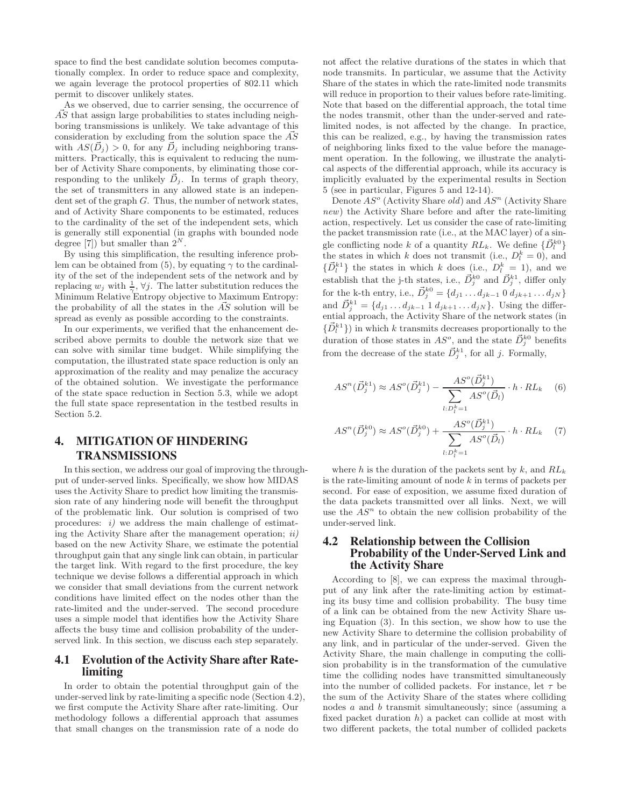space to find the best candidate solution becomes computationally complex. In order to reduce space and complexity, we again leverage the protocol properties of 802.11 which permit to discover unlikely states.

As we observed, due to carrier sensing, the occurrence of  $\overline{AS}$  that assign large probabilities to states including neighboring transmissions is unlikely. We take advantage of this consideration by excluding from the solution space the  $\overrightarrow{AS}$ with  $AS(D_i) > 0$ , for any  $D_i$  including neighboring transmitters. Practically, this is equivalent to reducing the number of Activity Share components, by eliminating those corresponding to the unlikely  $\vec{D}_j$ . In terms of graph theory, the set of transmitters in any allowed state is an independent set of the graph  $G$ . Thus, the number of network states, and of Activity Share components to be estimated, reduces to the cardinality of the set of the independent sets, which is generally still exponential (in graphs with bounded node degree [7]) but smaller than  $2^N$ .

By using this simplification, the resulting inference problem can be obtained from (5), by equating  $\gamma$  to the cardinality of the set of the independent sets of the network and by replacing  $w_j$  with  $\frac{1}{\gamma}$   $\forall j$ . The latter substitution reduces the Minimum Relative Entropy objective to Maximum Entropy: the probability of all the states in the  $\vec{AS}$  solution will be spread as evenly as possible according to the constraints.

In our experiments, we verified that the enhancement described above permits to double the network size that we can solve with similar time budget. While simplifying the computation, the illustrated state space reduction is only an approximation of the reality and may penalize the accuracy of the obtained solution. We investigate the performance of the state space reduction in Section 5.3, while we adopt the full state space representation in the testbed results in Section 5.2.

# 4. MITIGATION OF HINDERING TRANSMISSIONS

In this section, we address our goal of improving the throughput of under-served links. Specifically, we show how MIDAS uses the Activity Share to predict how limiting the transmission rate of any hindering node will benefit the throughput of the problematic link. Our solution is comprised of two procedures:  $i)$  we address the main challenge of estimating the Activity Share after the management operation;  $ii)$ based on the new Activity Share, we estimate the potential throughput gain that any single link can obtain, in particular the target link. With regard to the first procedure, the key technique we devise follows a differential approach in which we consider that small deviations from the current network conditions have limited effect on the nodes other than the rate-limited and the under-served. The second procedure uses a simple model that identifies how the Activity Share affects the busy time and collision probability of the underserved link. In this section, we discuss each step separately.

#### 4.1 Evolution of the Activity Share after Ratelimiting

In order to obtain the potential throughput gain of the under-served link by rate-limiting a specific node (Section 4.2), we first compute the Activity Share after rate-limiting. Our methodology follows a differential approach that assumes that small changes on the transmission rate of a node do

not affect the relative durations of the states in which that node transmits. In particular, we assume that the Activity Share of the states in which the rate-limited node transmits will reduce in proportion to their values before rate-limiting. Note that based on the differential approach, the total time the nodes transmit, other than the under-served and ratelimited nodes, is not affected by the change. In practice, this can be realized, e.g., by having the transmission rates of neighboring links fixed to the value before the management operation. In the following, we illustrate the analytical aspects of the differential approach, while its accuracy is implicitly evaluated by the experimental results in Section 5 (see in particular, Figures 5 and 12-14).

Denote  $AS^o$  (Activity Share *old*) and  $AS^n$  (Activity Share new) the Activity Share before and after the rate-limiting action, respectively. Let us consider the case of rate-limiting the packet transmission rate (i.e., at the MAC layer) of a single conflicting node k of a quantity  $RL_k$ . We define  $\{\vec{D}_l^{k0}\}$ the states in which k does not transmit (i.e.,  $D_l^k = 0$ ), and  $\{\vec{D}_l^{k_1}\}\)$  the states in which k does (i.e.,  $D_l^k = 1$ ), and we establish that the j-th states, i.e.,  $\vec{D}_j^{k0}$  and  $\vec{D}_j^{k1}$ , differ only for the k-th entry, i.e.,  $\vec{D}_j^{k0} = \{d_{j1} \dots d_{jk-1} \, 0 \, d_{jk+1} \dots d_{jN}\}\,$ and  $\vec{D}_j^{k_1} = \{d_{j1} \dots d_{jk-1} \cdot 1 \cdot d_{jk+1} \dots d_{jN}\}\.$  Using the differential approach, the Activity Share of the network states (in  $\{\vec{D}_l^{k_1}\}\)$  in which k transmits decreases proportionally to the duration of those states in  $AS^o$ , and the state  $\vec{D}_j^{k0}$  benefits from the decrease of the state  $\vec{D}_j^{k_1}$ , for all j. Formally,

$$
AS^{n}(\vec{D}_{j}^{k1}) \approx AS^{o}(\vec{D}_{j}^{k1}) - \frac{AS^{o}(\vec{D}_{j}^{k1})}{\sum_{l:D_{l}^{k}=1} AS^{o}(\vec{D}_{l})} \cdot h \cdot RL_{k} \quad (6)
$$

$$
AS^{n}(\vec{D}_{j}^{k0}) \approx AS^{o}(\vec{D}_{j}^{k0}) + \frac{AS^{o}(\vec{D}_{j}^{k1})}{\sum_{l:D_{l}^{k}=1} AS^{o}(\vec{D}_{l})} \cdot h \cdot RL_{k} \quad (7)
$$

where h is the duration of the packets sent by  $k$ , and  $RL_k$ is the rate-limiting amount of node  $k$  in terms of packets per second. For ease of exposition, we assume fixed duration of the data packets transmitted over all links. Next, we will use the  $AS<sup>n</sup>$  to obtain the new collision probability of the under-served link.

## 4.2 Relationship between the Collision Probability of the Under-Served Link and the Activity Share

According to [8], we can express the maximal throughput of any link after the rate-limiting action by estimating its busy time and collision probability. The busy time of a link can be obtained from the new Activity Share using Equation (3). In this section, we show how to use the new Activity Share to determine the collision probability of any link, and in particular of the under-served. Given the Activity Share, the main challenge in computing the collision probability is in the transformation of the cumulative time the colliding nodes have transmitted simultaneously into the number of collided packets. For instance, let  $\tau$  be the sum of the Activity Share of the states where colliding nodes a and b transmit simultaneously; since (assuming a fixed packet duration  $h$ ) a packet can collide at most with two different packets, the total number of collided packets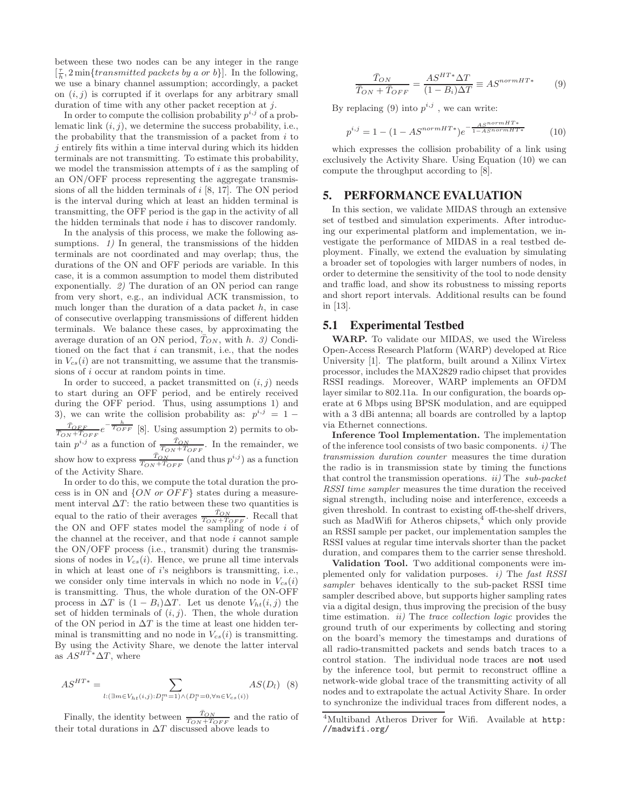between these two nodes can be any integer in the range  $\left[\frac{\tau}{h}, 2\min\{transmitted\ packets\ by\ a\ or\ b\}\right]$ . In the following, we use a binary channel assumption; accordingly, a packet on  $(i, j)$  is corrupted if it overlaps for any arbitrary small duration of time with any other packet reception at  $i$ .

In order to compute the collision probability  $p^{i,j}$  of a problematic link  $(i, j)$ , we determine the success probability, i.e., the probability that the transmission of a packet from  $i$  to  $j$  entirely fits within a time interval during which its hidden terminals are not transmitting. To estimate this probability, we model the transmission attempts of  $i$  as the sampling of an ON/OFF process representing the aggregate transmissions of all the hidden terminals of  $i$  [8, 17]. The ON period is the interval during which at least an hidden terminal is transmitting, the OFF period is the gap in the activity of all the hidden terminals that node  $i$  has to discover randomly.

In the analysis of this process, we make the following assumptions. 1) In general, the transmissions of the hidden terminals are not coordinated and may overlap; thus, the durations of the ON and OFF periods are variable. In this case, it is a common assumption to model them distributed exponentially. 2) The duration of an ON period can range from very short, e.g., an individual ACK transmission, to much longer than the duration of a data packet  $h$ , in case of consecutive overlapping transmissions of different hidden terminals. We balance these cases, by approximating the average duration of an ON period,  $T_{ON}$ , with h. 3) Conditioned on the fact that  $i$  can transmit, i.e., that the nodes in  $V_{cs}(i)$  are not transmitting, we assume that the transmissions of i occur at random points in time.

In order to succeed, a packet transmitted on  $(i, j)$  needs to start during an OFF period, and be entirely received during the OFF period. Thus, using assumptions 1) and 3), we can write the collision probability as:  $p^{i,j} = 1 \frac{\bar{T}_{OFF}}{\bar{T}_{ON}+\bar{T}_{OFF}}e^{-\frac{\hbar}{\bar{T}_{OFF}}}[8]$ . Using assumption 2) permits to obtain  $p^{i,j}$  as a function of  $\frac{\bar{T}_{ON}}{T_{ON}+T_{OFF}}$ . In the remainder, we show how to express  $\frac{\bar{T}_{ON}}{\bar{T}_{ON} + \bar{T}_{OFF}}$  (and thus  $p^{i,j}$ ) as a function of the Activity Share.

In order to do this, we compute the total duration the process is in ON and  $\{ON \text{ or } OFF\}$  states during a measurement interval  $\Delta T$ : the ratio between these two quantities is equal to the ratio of their averages  $\frac{\bar{T}_{ON}}{T_{ON}+T_{OFF}}$ . Recall that the ON and OFF states model the sampling of node i of the channel at the receiver, and that node  $i$  cannot sample the ON/OFF process (i.e., transmit) during the transmissions of nodes in  $V_{cs}(i)$ . Hence, we prune all time intervals in which at least one of i's neighbors is transmitting, i.e., we consider only time intervals in which no node in  $V_{cs}(i)$ is transmitting. Thus, the whole duration of the ON-OFF process in  $\Delta T$  is  $(1 - B_i) \Delta T$ . Let us denote  $V_{ht}(i, j)$  the set of hidden terminals of  $(i, j)$ . Then, the whole duration of the ON period in  $\Delta T$  is the time at least one hidden terminal is transmitting and no node in  $V_{cs}(i)$  is transmitting. By using the Activity Share, we denote the latter interval as  $AS^{H\bar{T}*}\Delta T$ , where

$$
AS^{HT*} = \sum_{l: (\exists m \in V_{ht}(i,j):D_l^m=1) \land (D_l^n=0, \forall n \in V_{cs}(i))} AS(D_l)
$$
 (8)

Finally, the identity between  $\frac{\bar{T}_{ON}}{T_{ON}+T_{OFF}}$  and the ratio of their total durations in  $\Delta T$  discussed above leads to

$$
\frac{\bar{T}_{ON}}{\bar{T}_{ON} + \bar{T}_{OFF}} = \frac{AS^{HT*} \Delta T}{(1 - B_i)\Delta T} \equiv AS^{normHT*}
$$
 (9)

By replacing (9) into  $p^{i,j}$ , we can write:

$$
p^{i,j} = 1 - (1 - AS^{normHT*})e^{-\frac{AS^{normHT*}}{1 - AS^{normHT*}}} \tag{10}
$$

which expresses the collision probability of a link using exclusively the Activity Share. Using Equation (10) we can compute the throughput according to [8].

## 5. PERFORMANCE EVALUATION

In this section, we validate MIDAS through an extensive set of testbed and simulation experiments. After introducing our experimental platform and implementation, we investigate the performance of MIDAS in a real testbed deployment. Finally, we extend the evaluation by simulating a broader set of topologies with larger numbers of nodes, in order to determine the sensitivity of the tool to node density and traffic load, and show its robustness to missing reports and short report intervals. Additional results can be found in [13].

## 5.1 Experimental Testbed

WARP. To validate our MIDAS, we used the Wireless Open-Access Research Platform (WARP) developed at Rice University [1]. The platform, built around a Xilinx Virtex processor, includes the MAX2829 radio chipset that provides RSSI readings. Moreover, WARP implements an OFDM layer similar to 802.11a. In our configuration, the boards operate at 6 Mbps using BPSK modulation, and are equipped with a 3 dBi antenna; all boards are controlled by a laptop via Ethernet connections.

Inference Tool Implementation. The implementation of the inference tool consists of two basic components.  $i$ ) The transmission duration counter measures the time duration the radio is in transmission state by timing the functions that control the transmission operations.  $ii)$  The sub-packet RSSI time sampler measures the time duration the received signal strength, including noise and interference, exceeds a given threshold. In contrast to existing off-the-shelf drivers, such as MadWifi for Atheros chipsets, $4$  which only provide an RSSI sample per packet, our implementation samples the RSSI values at regular time intervals shorter than the packet duration, and compares them to the carrier sense threshold.

Validation Tool. Two additional components were implemented only for validation purposes.  $i$ ) The fast RSSI sampler behaves identically to the sub-packet RSSI time sampler described above, but supports higher sampling rates via a digital design, thus improving the precision of the busy time estimation. *ii*) The *trace collection logic* provides the ground truth of our experiments by collecting and storing on the board's memory the timestamps and durations of all radio-transmitted packets and sends batch traces to a control station. The individual node traces are not used by the inference tool, but permit to reconstruct offline a network-wide global trace of the transmitting activity of all nodes and to extrapolate the actual Activity Share. In order to synchronize the individual traces from different nodes, a

<sup>4</sup>Multiband Atheros Driver for Wifi. Available at http: //madwifi.org/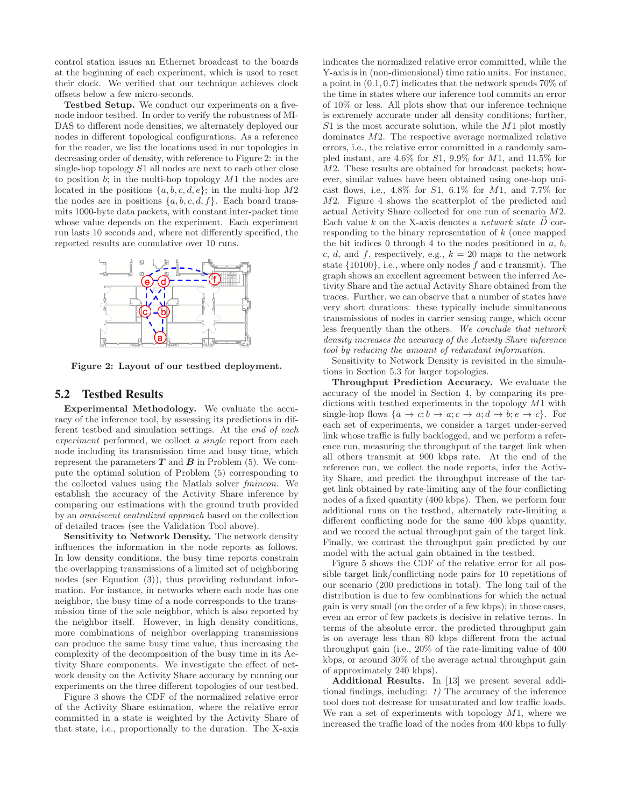control station issues an Ethernet broadcast to the boards at the beginning of each experiment, which is used to reset their clock. We verified that our technique achieves clock offsets below a few micro-seconds.

Testbed Setup. We conduct our experiments on a fivenode indoor testbed. In order to verify the robustness of MI-DAS to different node densities, we alternately deployed our nodes in different topological configurations. As a reference for the reader, we list the locations used in our topologies in decreasing order of density, with reference to Figure 2: in the single-hop topology S1 all nodes are next to each other close to position  $b$ ; in the multi-hop topology  $M1$  the nodes are located in the positions  $\{a, b, c, d, e\}$ ; in the multi-hop  $M2$ the nodes are in positions  $\{a, b, c, d, f\}$ . Each board transmits 1000-byte data packets, with constant inter-packet time whose value depends on the experiment. Each experiment run lasts 10 seconds and, where not differently specified, the reported results are cumulative over 10 runs.



Figure 2: Layout of our testbed deployment.

#### 5.2 Testbed Results

Experimental Methodology. We evaluate the accuracy of the inference tool, by assessing its predictions in different testbed and simulation settings. At the end of each experiment performed, we collect a single report from each node including its transmission time and busy time, which represent the parameters  $T$  and  $B$  in Problem (5). We compute the optimal solution of Problem (5) corresponding to the collected values using the Matlab solver fmincon. We establish the accuracy of the Activity Share inference by comparing our estimations with the ground truth provided by an omniscent centralized approach based on the collection of detailed traces (see the Validation Tool above).

Sensitivity to Network Density. The network density influences the information in the node reports as follows. In low density conditions, the busy time reports constrain the overlapping transmissions of a limited set of neighboring nodes (see Equation (3)), thus providing redundant information. For instance, in networks where each node has one neighbor, the busy time of a node corresponds to the transmission time of the sole neighbor, which is also reported by the neighbor itself. However, in high density conditions, more combinations of neighbor overlapping transmissions can produce the same busy time value, thus increasing the complexity of the decomposition of the busy time in its Activity Share components. We investigate the effect of network density on the Activity Share accuracy by running our experiments on the three different topologies of our testbed.

Figure 3 shows the CDF of the normalized relative error of the Activity Share estimation, where the relative error committed in a state is weighted by the Activity Share of that state, i.e., proportionally to the duration. The X-axis

indicates the normalized relative error committed, while the Y-axis is in (non-dimensional) time ratio units. For instance, a point in (0.1, 0.7) indicates that the network spends 70% of the time in states where our inference tool commits an error of 10% or less. All plots show that our inference technique is extremely accurate under all density conditions; further,  $S1$  is the most accurate solution, while the  $M1$  plot mostly dominates M2. The respective average normalized relative errors, i.e., the relative error committed in a randomly sampled instant, are  $4.6\%$  for  $S1$ ,  $9.9\%$  for  $M1$ , and  $11.5\%$  for M2. These results are obtained for broadcast packets; however, similar values have been obtained using one-hop unicast flows, i.e.,  $4.8\%$  for  $S1$ ,  $6.1\%$  for  $M1$ , and  $7.7\%$  for M2. Figure 4 shows the scatterplot of the predicted and actual Activity Share collected for one run of scenario M2. Each value k on the X-axis denotes a *network state*  $\vec{D}$  corresponding to the binary representation of k (once mapped the bit indices 0 through 4 to the nodes positioned in  $a, b$ , c, d, and f, respectively, e.g.,  $k = 20$  maps to the network state  $\{10100\}$ , i.e., where only nodes  $f$  and  $c$  transmit). The graph shows an excellent agreement between the inferred Activity Share and the actual Activity Share obtained from the traces. Further, we can observe that a number of states have very short durations: these typically include simultaneous transmissions of nodes in carrier sensing range, which occur less frequently than the others. We conclude that network density increases the accuracy of the Activity Share inference tool by reducing the amount of redundant information.

Sensitivity to Network Density is revisited in the simulations in Section 5.3 for larger topologies.

Throughput Prediction Accuracy. We evaluate the accuracy of the model in Section 4, by comparing its predictions with testbed experiments in the topology M1 with single-hop flows  $\{a \to c; b \to a; c \to a; d \to b; e \to c\}$ . For each set of experiments, we consider a target under-served link whose traffic is fully backlogged, and we perform a reference run, measuring the throughput of the target link when all others transmit at 900 kbps rate. At the end of the reference run, we collect the node reports, infer the Activity Share, and predict the throughput increase of the target link obtained by rate-limiting any of the four conflicting nodes of a fixed quantity (400 kbps). Then, we perform four additional runs on the testbed, alternately rate-limiting a different conflicting node for the same 400 kbps quantity, and we record the actual throughput gain of the target link. Finally, we contrast the throughput gain predicted by our model with the actual gain obtained in the testbed.

Figure 5 shows the CDF of the relative error for all possible target link/conflicting node pairs for 10 repetitions of our scenario (200 predictions in total). The long tail of the distribution is due to few combinations for which the actual gain is very small (on the order of a few kbps); in those cases, even an error of few packets is decisive in relative terms. In terms of the absolute error, the predicted throughput gain is on average less than 80 kbps different from the actual throughput gain (i.e., 20% of the rate-limiting value of 400 kbps, or around 30% of the average actual throughput gain of approximately 240 kbps).

Additional Results. In [13] we present several additional findings, including: 1) The accuracy of the inference tool does not decrease for unsaturated and low traffic loads. We ran a set of experiments with topology  $M1$ , where we increased the traffic load of the nodes from 400 kbps to fully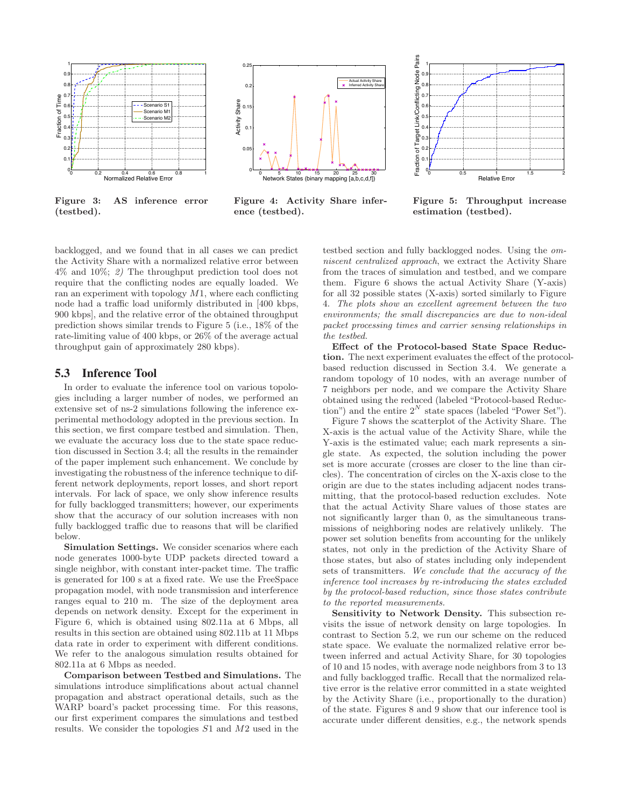

Figure 3: AS inference error (testbed).



Figure 4: Activity Share inference (testbed).



Figure 5: Throughput increase estimation (testbed).

backlogged, and we found that in all cases we can predict the Activity Share with a normalized relative error between 4% and 10%; 2) The throughput prediction tool does not require that the conflicting nodes are equally loaded. We ran an experiment with topology  $M1$ , where each conflicting node had a traffic load uniformly distributed in [400 kbps, 900 kbps], and the relative error of the obtained throughput prediction shows similar trends to Figure 5 (i.e., 18% of the rate-limiting value of 400 kbps, or 26% of the average actual throughput gain of approximately 280 kbps).

## 5.3 Inference Tool

In order to evaluate the inference tool on various topologies including a larger number of nodes, we performed an extensive set of ns-2 simulations following the inference experimental methodology adopted in the previous section. In this section, we first compare testbed and simulation. Then, we evaluate the accuracy loss due to the state space reduction discussed in Section 3.4; all the results in the remainder of the paper implement such enhancement. We conclude by investigating the robustness of the inference technique to different network deployments, report losses, and short report intervals. For lack of space, we only show inference results for fully backlogged transmitters; however, our experiments show that the accuracy of our solution increases with non fully backlogged traffic due to reasons that will be clarified below.

Simulation Settings. We consider scenarios where each node generates 1000-byte UDP packets directed toward a single neighbor, with constant inter-packet time. The traffic is generated for 100 s at a fixed rate. We use the FreeSpace propagation model, with node transmission and interference ranges equal to 210 m. The size of the deployment area depends on network density. Except for the experiment in Figure 6, which is obtained using 802.11a at 6 Mbps, all results in this section are obtained using 802.11b at 11 Mbps data rate in order to experiment with different conditions. We refer to the analogous simulation results obtained for 802.11a at 6 Mbps as needed.

Comparison between Testbed and Simulations. The simulations introduce simplifications about actual channel propagation and abstract operational details, such as the WARP board's packet processing time. For this reasons, our first experiment compares the simulations and testbed results. We consider the topologies S1 and M2 used in the

testbed section and fully backlogged nodes. Using the omniscent centralized approach, we extract the Activity Share from the traces of simulation and testbed, and we compare them. Figure 6 shows the actual Activity Share (Y-axis) for all 32 possible states (X-axis) sorted similarly to Figure 4. The plots show an excellent agreement between the two environments; the small discrepancies are due to non-ideal packet processing times and carrier sensing relationships in the testbed.

Effect of the Protocol-based State Space Reduction. The next experiment evaluates the effect of the protocolbased reduction discussed in Section 3.4. We generate a random topology of 10 nodes, with an average number of 7 neighbors per node, and we compare the Activity Share obtained using the reduced (labeled "Protocol-based Reduction") and the entire  $2^N$  state spaces (labeled "Power Set").

Figure 7 shows the scatterplot of the Activity Share. The X-axis is the actual value of the Activity Share, while the Y-axis is the estimated value; each mark represents a single state. As expected, the solution including the power set is more accurate (crosses are closer to the line than circles). The concentration of circles on the X-axis close to the origin are due to the states including adjacent nodes transmitting, that the protocol-based reduction excludes. Note that the actual Activity Share values of those states are not significantly larger than 0, as the simultaneous transmissions of neighboring nodes are relatively unlikely. The power set solution benefits from accounting for the unlikely states, not only in the prediction of the Activity Share of those states, but also of states including only independent sets of transmitters. We conclude that the accuracy of the inference tool increases by re-introducing the states excluded by the protocol-based reduction, since those states contribute to the reported measurements.

Sensitivity to Network Density. This subsection revisits the issue of network density on large topologies. In contrast to Section 5.2, we run our scheme on the reduced state space. We evaluate the normalized relative error between inferred and actual Activity Share, for 30 topologies of 10 and 15 nodes, with average node neighbors from 3 to 13 and fully backlogged traffic. Recall that the normalized relative error is the relative error committed in a state weighted by the Activity Share (i.e., proportionally to the duration) of the state. Figures 8 and 9 show that our inference tool is accurate under different densities, e.g., the network spends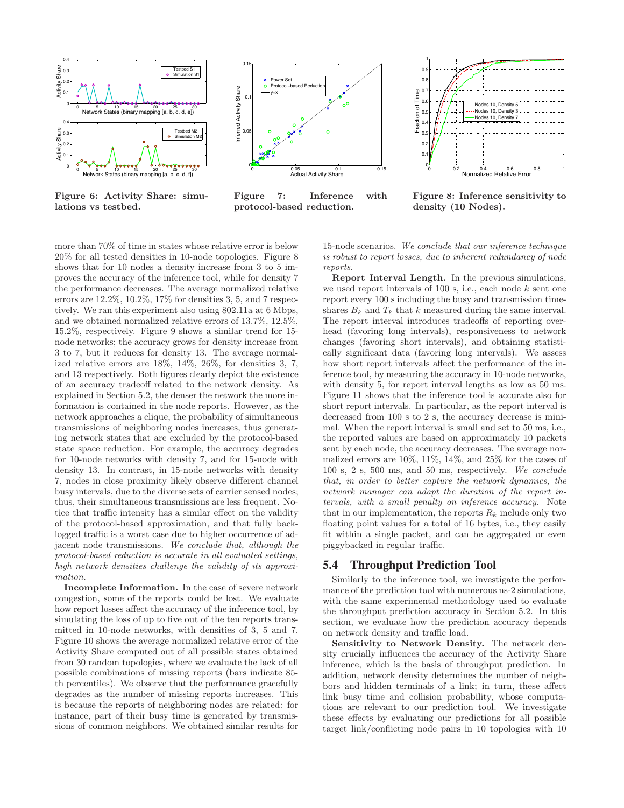

Figure 6: Activity Share: simulations vs testbed.



Figure 7: Inference with protocol-based reduction.



Figure 8: Inference sensitivity to density (10 Nodes).

more than 70% of time in states whose relative error is below 20% for all tested densities in 10-node topologies. Figure 8 shows that for 10 nodes a density increase from 3 to 5 improves the accuracy of the inference tool, while for density 7 the performance decreases. The average normalized relative errors are 12.2%, 10.2%, 17% for densities 3, 5, and 7 respectively. We ran this experiment also using 802.11a at 6 Mbps, and we obtained normalized relative errors of 13.7%, 12.5%, 15.2%, respectively. Figure 9 shows a similar trend for 15 node networks; the accuracy grows for density increase from 3 to 7, but it reduces for density 13. The average normalized relative errors are 18%, 14%, 26%, for densities 3, 7, and 13 respectively. Both figures clearly depict the existence of an accuracy tradeoff related to the network density. As explained in Section 5.2, the denser the network the more information is contained in the node reports. However, as the network approaches a clique, the probability of simultaneous transmissions of neighboring nodes increases, thus generating network states that are excluded by the protocol-based state space reduction. For example, the accuracy degrades for 10-node networks with density 7, and for 15-node with density 13. In contrast, in 15-node networks with density 7, nodes in close proximity likely observe different channel busy intervals, due to the diverse sets of carrier sensed nodes; thus, their simultaneous transmissions are less frequent. Notice that traffic intensity has a similar effect on the validity of the protocol-based approximation, and that fully backlogged traffic is a worst case due to higher occurrence of adjacent node transmissions. We conclude that, although the protocol-based reduction is accurate in all evaluated settings, high network densities challenge the validity of its approximation.

Incomplete Information. In the case of severe network congestion, some of the reports could be lost. We evaluate how report losses affect the accuracy of the inference tool, by simulating the loss of up to five out of the ten reports transmitted in 10-node networks, with densities of 3, 5 and 7. Figure 10 shows the average normalized relative error of the Activity Share computed out of all possible states obtained from 30 random topologies, where we evaluate the lack of all possible combinations of missing reports (bars indicate 85 th percentiles). We observe that the performance gracefully degrades as the number of missing reports increases. This is because the reports of neighboring nodes are related: for instance, part of their busy time is generated by transmissions of common neighbors. We obtained similar results for

15-node scenarios. We conclude that our inference technique is robust to report losses, due to inherent redundancy of node reports.

Report Interval Length. In the previous simulations, we used report intervals of  $100$  s, i.e., each node  $k$  sent one report every 100 s including the busy and transmission timeshares  $B_k$  and  $T_k$  that k measured during the same interval. The report interval introduces tradeoffs of reporting overhead (favoring long intervals), responsiveness to network changes (favoring short intervals), and obtaining statistically significant data (favoring long intervals). We assess how short report intervals affect the performance of the inference tool, by measuring the accuracy in 10-node networks, with density 5, for report interval lengths as low as 50 ms. Figure 11 shows that the inference tool is accurate also for short report intervals. In particular, as the report interval is decreased from 100 s to 2 s, the accuracy decrease is minimal. When the report interval is small and set to 50 ms, i.e., the reported values are based on approximately 10 packets sent by each node, the accuracy decreases. The average normalized errors are 10%, 11%, 14%, and 25% for the cases of 100 s, 2 s, 500 ms, and 50 ms, respectively. We conclude that, in order to better capture the network dynamics, the network manager can adapt the duration of the report intervals, with a small penalty on inference accuracy. Note that in our implementation, the reports  $R_k$  include only two floating point values for a total of 16 bytes, i.e., they easily fit within a single packet, and can be aggregated or even piggybacked in regular traffic.

## 5.4 Throughput Prediction Tool

Similarly to the inference tool, we investigate the performance of the prediction tool with numerous ns-2 simulations, with the same experimental methodology used to evaluate the throughput prediction accuracy in Section 5.2. In this section, we evaluate how the prediction accuracy depends on network density and traffic load.

Sensitivity to Network Density. The network density crucially influences the accuracy of the Activity Share inference, which is the basis of throughput prediction. In addition, network density determines the number of neighbors and hidden terminals of a link; in turn, these affect link busy time and collision probability, whose computations are relevant to our prediction tool. We investigate these effects by evaluating our predictions for all possible target link/conflicting node pairs in 10 topologies with 10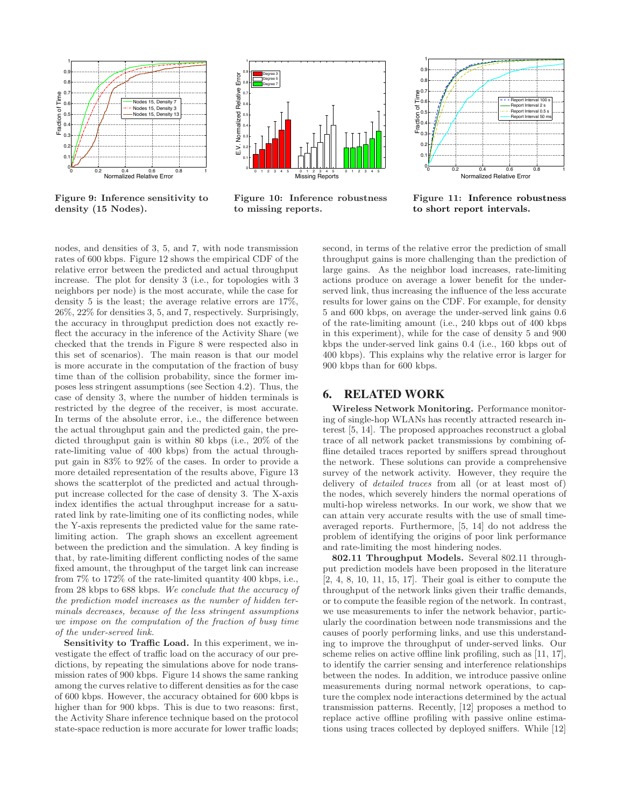

Figure 9: Inference sensitivity to density (15 Nodes).



Figure 10: Inference robustness to missing reports.



Figure 11: Inference robustness to short report intervals.

nodes, and densities of 3, 5, and 7, with node transmission rates of 600 kbps. Figure 12 shows the empirical CDF of the relative error between the predicted and actual throughput increase. The plot for density 3 (i.e., for topologies with 3 neighbors per node) is the most accurate, while the case for density 5 is the least; the average relative errors are 17%, 26%, 22% for densities 3, 5, and 7, respectively. Surprisingly, the accuracy in throughput prediction does not exactly reflect the accuracy in the inference of the Activity Share (we checked that the trends in Figure 8 were respected also in this set of scenarios). The main reason is that our model is more accurate in the computation of the fraction of busy time than of the collision probability, since the former imposes less stringent assumptions (see Section 4.2). Thus, the case of density 3, where the number of hidden terminals is restricted by the degree of the receiver, is most accurate. In terms of the absolute error, i.e., the difference between the actual throughput gain and the predicted gain, the predicted throughput gain is within 80 kbps (i.e., 20% of the rate-limiting value of 400 kbps) from the actual throughput gain in 83% to 92% of the cases. In order to provide a more detailed representation of the results above, Figure 13 shows the scatterplot of the predicted and actual throughput increase collected for the case of density 3. The X-axis index identifies the actual throughput increase for a saturated link by rate-limiting one of its conflicting nodes, while the Y-axis represents the predicted value for the same ratelimiting action. The graph shows an excellent agreement between the prediction and the simulation. A key finding is that, by rate-limiting different conflicting nodes of the same fixed amount, the throughput of the target link can increase from 7% to 172% of the rate-limited quantity 400 kbps, i.e., from 28 kbps to 688 kbps. We conclude that the accuracy of the prediction model increases as the number of hidden terminals decreases, because of the less stringent assumptions we impose on the computation of the fraction of busy time of the under-served link.

Sensitivity to Traffic Load. In this experiment, we investigate the effect of traffic load on the accuracy of our predictions, by repeating the simulations above for node transmission rates of 900 kbps. Figure 14 shows the same ranking among the curves relative to different densities as for the case of 600 kbps. However, the accuracy obtained for 600 kbps is higher than for 900 kbps. This is due to two reasons: first, the Activity Share inference technique based on the protocol state-space reduction is more accurate for lower traffic loads;

second, in terms of the relative error the prediction of small throughput gains is more challenging than the prediction of large gains. As the neighbor load increases, rate-limiting actions produce on average a lower benefit for the underserved link, thus increasing the influence of the less accurate results for lower gains on the CDF. For example, for density 5 and 600 kbps, on average the under-served link gains 0.6 of the rate-limiting amount (i.e., 240 kbps out of 400 kbps in this experiment), while for the case of density 5 and 900 kbps the under-served link gains 0.4 (i.e., 160 kbps out of 400 kbps). This explains why the relative error is larger for 900 kbps than for 600 kbps.

## 6. RELATED WORK

Wireless Network Monitoring. Performance monitoring of single-hop WLANs has recently attracted research interest [5, 14]. The proposed approaches reconstruct a global trace of all network packet transmissions by combining offline detailed traces reported by sniffers spread throughout the network. These solutions can provide a comprehensive survey of the network activity. However, they require the delivery of detailed traces from all (or at least most of) the nodes, which severely hinders the normal operations of multi-hop wireless networks. In our work, we show that we can attain very accurate results with the use of small timeaveraged reports. Furthermore, [5, 14] do not address the problem of identifying the origins of poor link performance and rate-limiting the most hindering nodes.

802.11 Throughput Models. Several 802.11 throughput prediction models have been proposed in the literature [2, 4, 8, 10, 11, 15, 17]. Their goal is either to compute the throughput of the network links given their traffic demands, or to compute the feasible region of the network. In contrast, we use measurements to infer the network behavior, particularly the coordination between node transmissions and the causes of poorly performing links, and use this understanding to improve the throughput of under-served links. Our scheme relies on active offline link profiling, such as [11, 17], to identify the carrier sensing and interference relationships between the nodes. In addition, we introduce passive online measurements during normal network operations, to capture the complex node interactions determined by the actual transmission patterns. Recently, [12] proposes a method to replace active offline profiling with passive online estimations using traces collected by deployed sniffers. While [12]